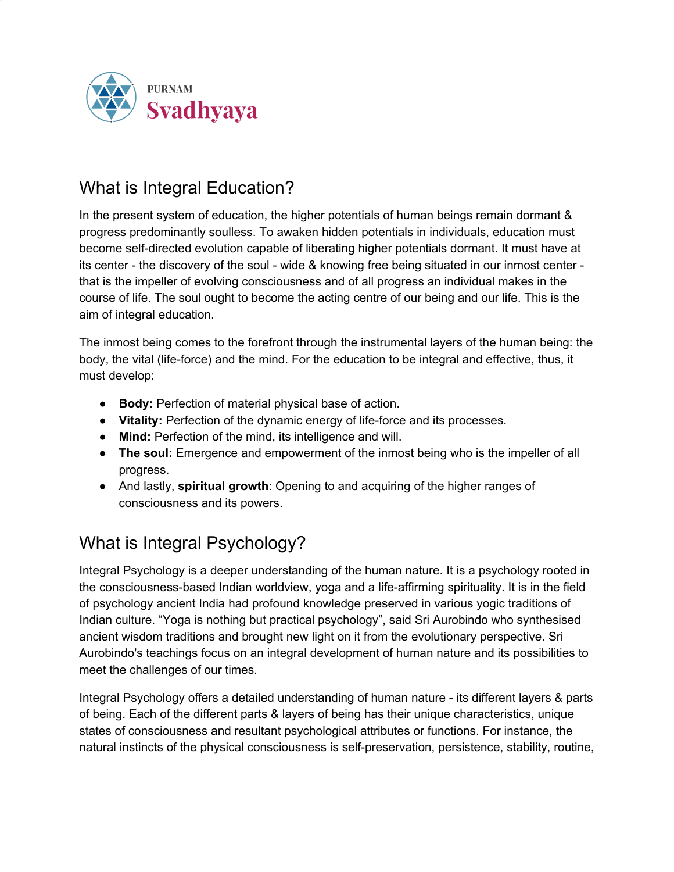

## What is Integral Education?

In the present system of education, the higher potentials of human beings remain dormant & progress predominantly soulless. To awaken hidden potentials in individuals, education must become self-directed evolution capable of liberating higher potentials dormant. It must have at its center - the discovery of the soul - wide & knowing free being situated in our inmost center that is the impeller of evolving consciousness and of all progress an individual makes in the course of life. The soul ought to become the acting centre of our being and our life. This is the aim of integral education.

The inmost being comes to the forefront through the instrumental layers of the human being: the body, the vital (life-force) and the mind. For the education to be integral and effective, thus, it must develop:

- **Body:** Perfection of material physical base of action.
- **Vitality:** Perfection of the dynamic energy of life-force and its processes.
- **Mind:** Perfection of the mind, its intelligence and will.
- **The soul:** Emergence and empowerment of the inmost being who is the impeller of all progress.
- And lastly, **spiritual growth**: Opening to and acquiring of the higher ranges of consciousness and its powers.

## What is Integral Psychology?

Integral Psychology is a deeper understanding of the human nature. It is a psychology rooted in the consciousness-based Indian worldview, yoga and a life-affirming spirituality. It is in the field of psychology ancient India had profound knowledge preserved in various yogic traditions of Indian culture. "Yoga is nothing but practical psychology", said Sri Aurobindo who synthesised ancient wisdom traditions and brought new light on it from the evolutionary perspective. Sri Aurobindo's teachings focus on an integral development of human nature and its possibilities to meet the challenges of our times.

Integral Psychology offers a detailed understanding of human nature - its different layers & parts of being. Each of the different parts & layers of being has their unique characteristics, unique states of consciousness and resultant psychological attributes or functions. For instance, the natural instincts of the physical consciousness is self-preservation, persistence, stability, routine,